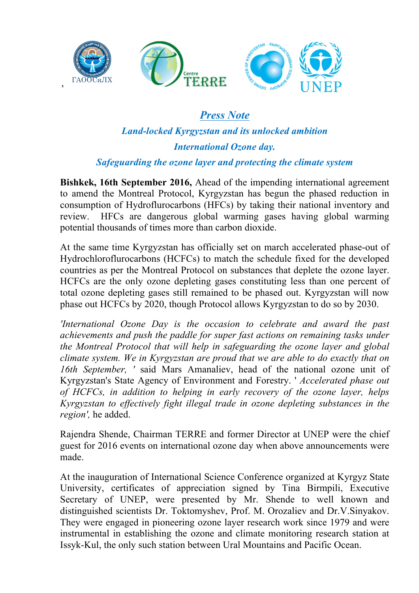

# *Press Note*

# *Land-locked Kyrgyzstan and its unlocked ambition International Ozone day.*

## *Safeguarding the ozone layer and protecting the climate system*

**Bishkek, 16th September 2016,** Ahead of the impending international agreement to amend the Montreal Protocol, Kyrgyzstan has begun the phased reduction in consumption of Hydroflurocarbons (HFCs) by taking their national inventory and review. HFCs are dangerous global warming gases having global warming potential thousands of times more than carbon dioxide.

At the same time Kyrgyzstan has officially set on march accelerated phase-out of Hydrochloroflurocarbons (HCFCs) to match the schedule fixed for the developed countries as per the Montreal Protocol on substances that deplete the ozone layer. HCFCs are the only ozone depleting gases constituting less than one percent of total ozone depleting gases still remained to be phased out. Kyrgyzstan will now phase out HCFCs by 2020, though Protocol allows Kyrgyzstan to do so by 2030.

*'International Ozone Day is the occasion to celebrate and award the past achievements and push the paddle for super fast actions on remaining tasks under the Montreal Protocol that will help in safeguarding the ozone layer and global climate system. We in Kyrgyzstan are proud that we are able to do exactly that on 16th September, '* said Mars Amanaliev, head of the national ozone unit of Kyrgyzstan's State Agency of Environment and Forestry. ' *Accelerated phase out of HCFCs, in addition to helping in early recovery of the ozone layer, helps Kyrgyzstan to effectively fight illegal trade in ozone depleting substances in the region',* he added.

Rajendra Shende, Chairman TERRE and former Director at UNEP were the chief guest for 2016 events on international ozone day when above announcements were made.

At the inauguration of International Science Conference organized at Kyrgyz State University, certificates of appreciation signed by Tina Birmpili, Executive Secretary of UNEP, were presented by Mr. Shende to well known and distinguished scientists Dr. Toktomyshev, Prof. M. Orozaliev and Dr.V.Sinyakov. They were engaged in pioneering ozone layer research work since 1979 and were instrumental in establishing the ozone and climate monitoring research station at Issyk-Kul, the only such station between Ural Mountains and Pacific Ocean.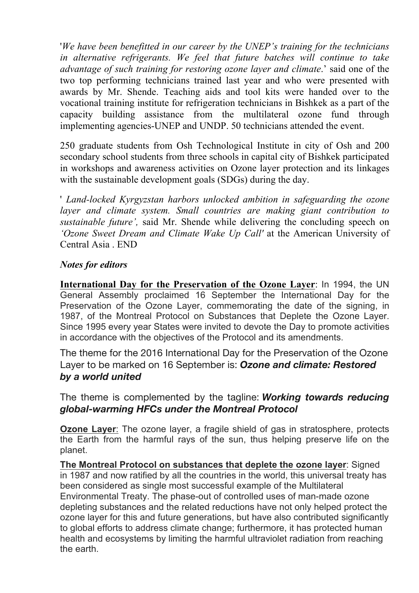'*We have been benefitted in our career by the UNEP's training for the technicians in alternative refrigerants. We feel that future batches will continue to take advantage of such training for restoring ozone layer and climate*.' said one of the two top performing technicians trained last year and who were presented with awards by Mr. Shende. Teaching aids and tool kits were handed over to the vocational training institute for refrigeration technicians in Bishkek as a part of the capacity building assistance from the multilateral ozone fund through implementing agencies-UNEP and UNDP. 50 technicians attended the event.

250 graduate students from Osh Technological Institute in city of Osh and 200 secondary school students from three schools in capital city of Bishkek participated in workshops and awareness activities on Ozone layer protection and its linkages with the sustainable development goals (SDGs) during the day.

' *Land-locked Kyrgyzstan harbors unlocked ambition in safeguarding the ozone*  layer and climate system. Small countries are making giant contribution to *sustainable future',* said Mr. Shende while delivering the concluding speech on *'Ozone Sweet Dream and Climate Wake Up Call'* at the American University of Central Asia . END

#### *Notes for editors*

**International Day for the Preservation of the Ozone Layer**: In 1994, the UN General Assembly proclaimed 16 September the International Day for the Preservation of the Ozone Layer, commemorating the date of the signing, in 1987, of the Montreal Protocol on Substances that Deplete the Ozone Layer. Since 1995 every year States were invited to devote the Day to promote activities in accordance with the objectives of the Protocol and its amendments.

The theme for the 2016 International Day for the Preservation of the Ozone Layer to be marked on 16 September is: *Ozone and climate: Restored by a world united*

The theme is complemented by the tagline: *Working towards reducing global-warming HFCs under the Montreal Protocol*

**Ozone Layer**: The ozone layer, a fragile shield of gas in stratosphere, protects the Earth from the harmful rays of the sun, thus helping preserve life on the planet.

**The Montreal Protocol on substances that deplete the ozone layer**: Signed in 1987 and now ratified by all the countries in the world, this universal treaty has been considered as single most successful example of the Multilateral Environmental Treaty. The phase-out of controlled uses of man-made ozone depleting substances and the related reductions have not only helped protect the ozone layer for this and future generations, but have also contributed significantly to global efforts to address climate change; furthermore, it has protected human health and ecosystems by limiting the harmful ultraviolet radiation from reaching the earth.